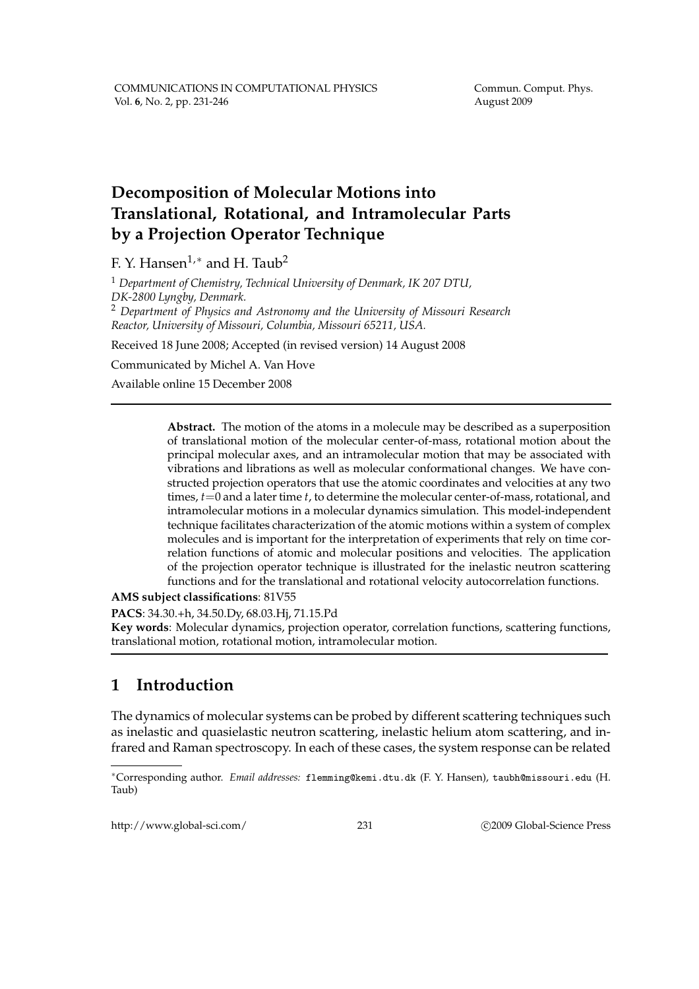Commun. Comput. Phys. August 2009

# **Decomposition of Molecular Motions into Translational, Rotational, and Intramolecular Parts by a Projection Operator Technique**

F. Y. Hansen<sup>1,\*</sup> and H. Taub<sup>2</sup>

<sup>1</sup> *Department of Chemistry, Technical University of Denmark, IK 207 DTU, DK-2800 Lyngby, Denmark.* <sup>2</sup> *Department of Physics and Astronomy and the University of Missouri Research Reactor, University of Missouri, Columbia, Missouri 65211, USA.*

Received 18 June 2008; Accepted (in revised version) 14 August 2008

Communicated by Michel A. Van Hove

Available online 15 December 2008

**Abstract.** The motion of the atoms in a molecule may be described as a superposition of translational motion of the molecular center-of-mass, rotational motion about the principal molecular axes, and an intramolecular motion that may be associated with vibrations and librations as well as molecular conformational changes. We have constructed projection operators that use the atomic coordinates and velocities at any two times, *t*=0 and a later time *t*, to determine the molecular center-of-mass, rotational, and intramolecular motions in a molecular dynamics simulation. This model-independent technique facilitates characterization of the atomic motions within a system of complex molecules and is important for the interpretation of experiments that rely on time correlation functions of atomic and molecular positions and velocities. The application of the projection operator technique is illustrated for the inelastic neutron scattering functions and for the translational and rotational velocity autocorrelation functions.

**AMS subject classifications**: 81V55

**PACS**: 34.30.+h, 34.50.Dy, 68.03.Hj, 71.15.Pd

**Key words**: Molecular dynamics, projection operator, correlation functions, scattering functions, translational motion, rotational motion, intramolecular motion.

# **1 Introduction**

The dynamics of molecular systems can be probed by different scattering techniques such as inelastic and quasielastic neutron scattering, inelastic helium atom scattering, and infrared and Raman spectroscopy. In each of these cases, the system response can be related

http://www.global-sci.com/ 231 c 2009 Global-Science Press

<sup>∗</sup>Corresponding author. *Email addresses:* flemming@kemi.dtu.dk (F. Y. Hansen), taubh@missouri.edu (H. Taub)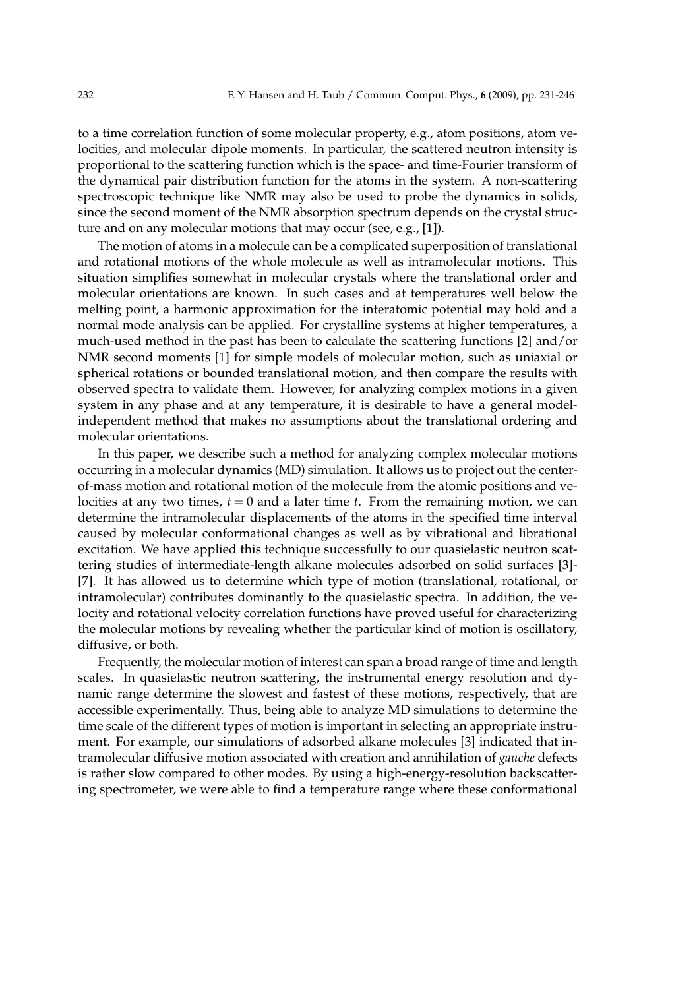to a time correlation function of some molecular property, e.g., atom positions, atom velocities, and molecular dipole moments. In particular, the scattered neutron intensity is proportional to the scattering function which is the space- and time-Fourier transform of the dynamical pair distribution function for the atoms in the system. A non-scattering spectroscopic technique like NMR may also be used to probe the dynamics in solids, since the second moment of the NMR absorption spectrum depends on the crystal structure and on any molecular motions that may occur (see, e.g., [1]).

The motion of atoms in a molecule can be a complicated superposition of translational and rotational motions of the whole molecule as well as intramolecular motions. This situation simplifies somewhat in molecular crystals where the translational order and molecular orientations are known. In such cases and at temperatures well below the melting point, a harmonic approximation for the interatomic potential may hold and a normal mode analysis can be applied. For crystalline systems at higher temperatures, a much-used method in the past has been to calculate the scattering functions [2] and/or NMR second moments [1] for simple models of molecular motion, such as uniaxial or spherical rotations or bounded translational motion, and then compare the results with observed spectra to validate them. However, for analyzing complex motions in a given system in any phase and at any temperature, it is desirable to have a general modelindependent method that makes no assumptions about the translational ordering and molecular orientations.

In this paper, we describe such a method for analyzing complex molecular motions occurring in a molecular dynamics (MD) simulation. It allows us to project out the centerof-mass motion and rotational motion of the molecule from the atomic positions and velocities at any two times,  $t = 0$  and a later time  $t$ . From the remaining motion, we can determine the intramolecular displacements of the atoms in the specified time interval caused by molecular conformational changes as well as by vibrational and librational excitation. We have applied this technique successfully to our quasielastic neutron scattering studies of intermediate-length alkane molecules adsorbed on solid surfaces [3]- [7]. It has allowed us to determine which type of motion (translational, rotational, or intramolecular) contributes dominantly to the quasielastic spectra. In addition, the velocity and rotational velocity correlation functions have proved useful for characterizing the molecular motions by revealing whether the particular kind of motion is oscillatory, diffusive, or both.

Frequently, the molecular motion of interest can span a broad range of time and length scales. In quasielastic neutron scattering, the instrumental energy resolution and dynamic range determine the slowest and fastest of these motions, respectively, that are accessible experimentally. Thus, being able to analyze MD simulations to determine the time scale of the different types of motion is important in selecting an appropriate instrument. For example, our simulations of adsorbed alkane molecules [3] indicated that intramolecular diffusive motion associated with creation and annihilation of *gauche* defects is rather slow compared to other modes. By using a high-energy-resolution backscattering spectrometer, we were able to find a temperature range where these conformational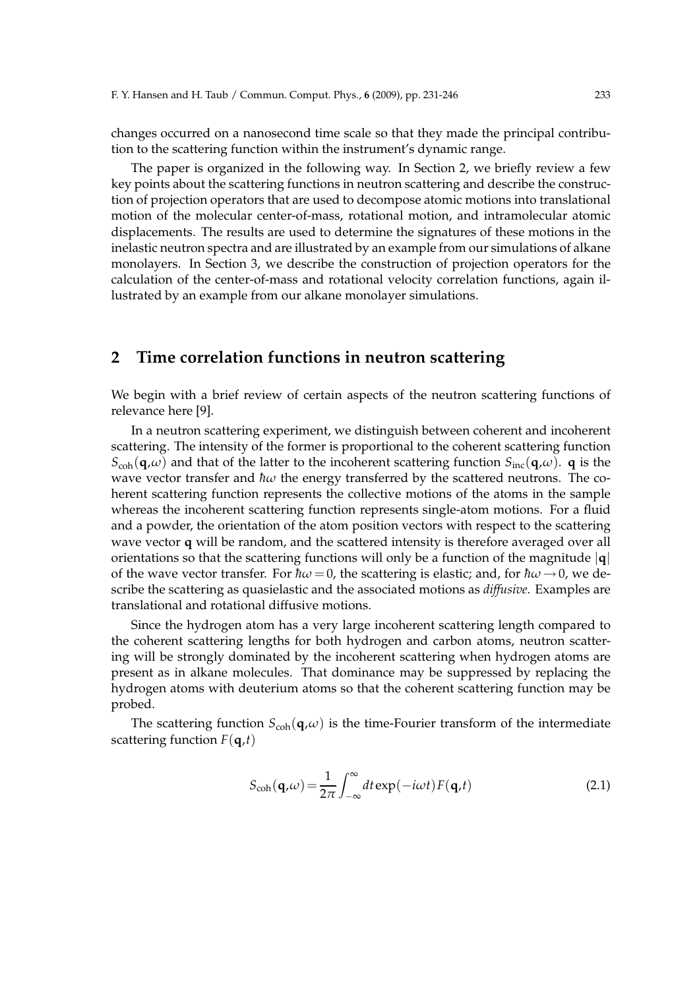changes occurred on a nanosecond time scale so that they made the principal contribution to the scattering function within the instrument's dynamic range.

The paper is organized in the following way. In Section 2, we briefly review a few key points about the scattering functions in neutron scattering and describe the construction of projection operators that are used to decompose atomic motions into translational motion of the molecular center-of-mass, rotational motion, and intramolecular atomic displacements. The results are used to determine the signatures of these motions in the inelastic neutron spectra and are illustrated by an example from our simulations of alkane monolayers. In Section 3, we describe the construction of projection operators for the calculation of the center-of-mass and rotational velocity correlation functions, again illustrated by an example from our alkane monolayer simulations.

# **2 Time correlation functions in neutron scattering**

We begin with a brief review of certain aspects of the neutron scattering functions of relevance here [9].

In a neutron scattering experiment, we distinguish between coherent and incoherent scattering. The intensity of the former is proportional to the coherent scattering function  $S_{coh}(\mathbf{q},\omega)$  and that of the latter to the incoherent scattering function  $S_{inc}(\mathbf{q},\omega)$ . **q** is the wave vector transfer and  $\hbar\omega$  the energy transferred by the scattered neutrons. The coherent scattering function represents the collective motions of the atoms in the sample whereas the incoherent scattering function represents single-atom motions. For a fluid and a powder, the orientation of the atom position vectors with respect to the scattering wave vector **q** will be random, and the scattered intensity is therefore averaged over all orientations so that the scattering functions will only be a function of the magnitude |**q**| of the wave vector transfer. For  $\hbar\omega = 0$ , the scattering is elastic; and, for  $\hbar\omega \rightarrow 0$ , we describe the scattering as quasielastic and the associated motions as *diffusive*. Examples are translational and rotational diffusive motions.

Since the hydrogen atom has a very large incoherent scattering length compared to the coherent scattering lengths for both hydrogen and carbon atoms, neutron scattering will be strongly dominated by the incoherent scattering when hydrogen atoms are present as in alkane molecules. That dominance may be suppressed by replacing the hydrogen atoms with deuterium atoms so that the coherent scattering function may be probed.

The scattering function  $S_{coh}(q,\omega)$  is the time-Fourier transform of the intermediate scattering function  $F(\mathbf{q},t)$ 

$$
S_{\rm coh}(\mathbf{q},\omega) = \frac{1}{2\pi} \int_{-\infty}^{\infty} dt \exp(-i\omega t) F(\mathbf{q},t)
$$
 (2.1)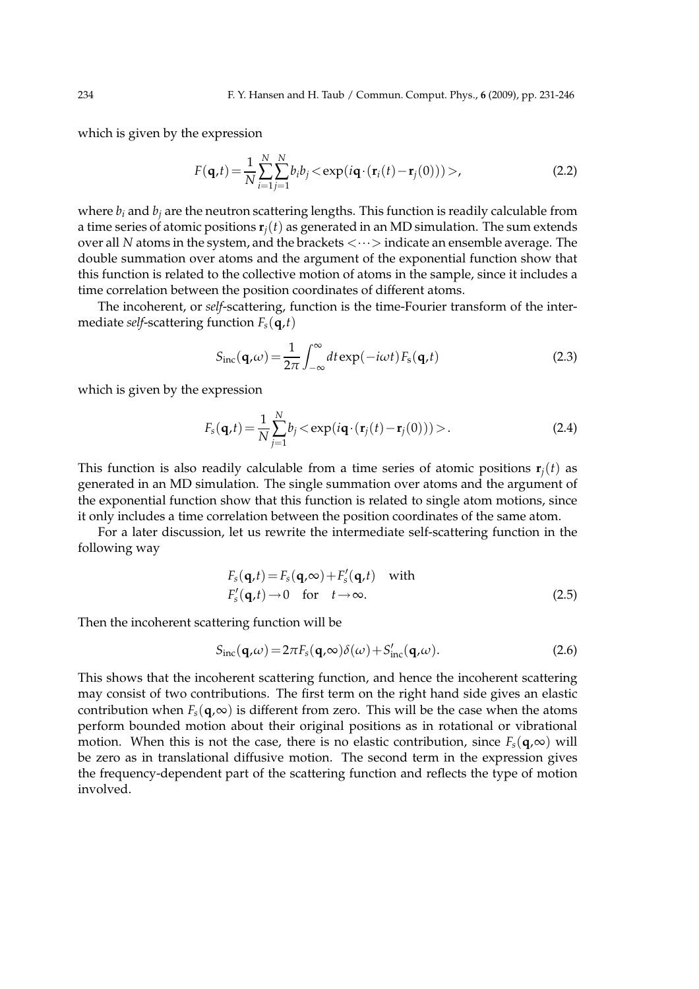which is given by the expression

$$
F(\mathbf{q},t) = \frac{1}{N} \sum_{i=1}^{N} \sum_{j=1}^{N} b_i b_j < \exp(i\mathbf{q} \cdot (\mathbf{r}_i(t) - \mathbf{r}_j(0)))>,
$$
\n(2.2)

where  $b_i$  and  $b_j$  are the neutron scattering lengths. This function is readily calculable from a time series of atomic positions  $\mathbf{r}_i(t)$  as generated in an MD simulation. The sum extends over all *N* atoms in the system, and the brackets  $\langle \cdots \rangle$  indicate an ensemble average. The double summation over atoms and the argument of the exponential function show that this function is related to the collective motion of atoms in the sample, since it includes a time correlation between the position coordinates of different atoms.

The incoherent, or *self*-scattering, function is the time-Fourier transform of the intermediate *self*-scattering function  $F_s(\mathbf{q},t)$ 

$$
S_{\rm inc}(\mathbf{q},\omega) = \frac{1}{2\pi} \int_{-\infty}^{\infty} dt \exp(-i\omega t) F_{\rm s}(\mathbf{q},t)
$$
 (2.3)

which is given by the expression

$$
F_s(\mathbf{q},t) = \frac{1}{N} \sum_{j=1}^{N} b_j < \exp(i\mathbf{q} \cdot (\mathbf{r}_j(t) - \mathbf{r}_j(0))) > . \tag{2.4}
$$

This function is also readily calculable from a time series of atomic positions  $\mathbf{r}_i(t)$  as generated in an MD simulation. The single summation over atoms and the argument of the exponential function show that this function is related to single atom motions, since it only includes a time correlation between the position coordinates of the same atom.

For a later discussion, let us rewrite the intermediate self-scattering function in the following way

$$
F_s(\mathbf{q},t) = F_s(\mathbf{q},\infty) + F'_s(\mathbf{q},t) \quad \text{with}
$$
  
\n
$$
F'_s(\mathbf{q},t) \to 0 \quad \text{for} \quad t \to \infty.
$$
\n(2.5)

Then the incoherent scattering function will be

$$
S_{\rm inc}(\mathbf{q},\omega) = 2\pi F_s(\mathbf{q},\infty)\delta(\omega) + S'_{\rm inc}(\mathbf{q},\omega). \tag{2.6}
$$

This shows that the incoherent scattering function, and hence the incoherent scattering may consist of two contributions. The first term on the right hand side gives an elastic contribution when  $F_s(\mathbf{q},\infty)$  is different from zero. This will be the case when the atoms perform bounded motion about their original positions as in rotational or vibrational motion. When this is not the case, there is no elastic contribution, since  $F_s(\mathbf{q},\infty)$  will be zero as in translational diffusive motion. The second term in the expression gives the frequency-dependent part of the scattering function and reflects the type of motion involved.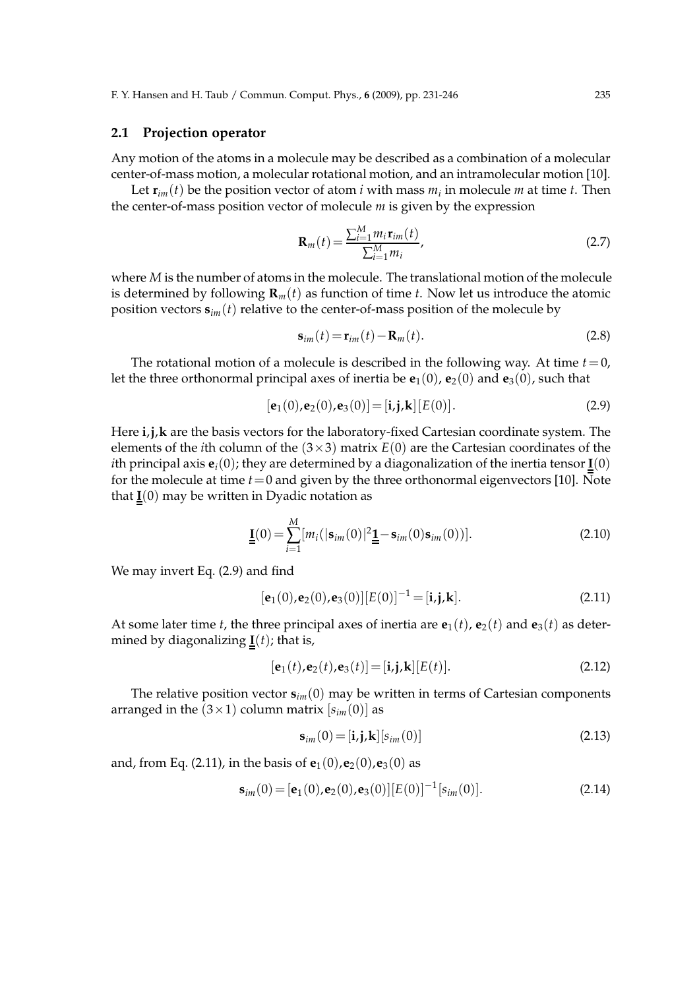### **2.1 Projection operator**

Any motion of the atoms in a molecule may be described as a combination of a molecular center-of-mass motion, a molecular rotational motion, and an intramolecular motion [10].

Let  $\mathbf{r}_{im}(t)$  be the position vector of atom *i* with mass  $m_i$  in molecule  $m$  at time  $t$ . Then the center-of-mass position vector of molecule *m* is given by the expression

$$
\mathbf{R}_{m}(t) = \frac{\sum_{i=1}^{M} m_{i} \mathbf{r}_{im}(t)}{\sum_{i=1}^{M} m_{i}},
$$
\n(2.7)

where *M* is the number of atoms in the molecule. The translational motion of the molecule is determined by following  $\mathbf{R}_m(t)$  as function of time *t*. Now let us introduce the atomic position vectors  $\mathbf{s}_{im}(t)$  relative to the center-of-mass position of the molecule by

$$
\mathbf{s}_{im}(t) = \mathbf{r}_{im}(t) - \mathbf{R}_m(t). \tag{2.8}
$$

The rotational motion of a molecule is described in the following way. At time  $t=0$ , let the three orthonormal principal axes of inertia be  $\mathbf{e}_1(0)$ ,  $\mathbf{e}_2(0)$  and  $\mathbf{e}_3(0)$ , such that

$$
[e_1(0), e_2(0), e_3(0)] = [i, j, k] [E(0)].
$$
\n(2.9)

Here  $i, j, k$  are the basis vectors for the laboratory-fixed Cartesian coordinate system. The elements of the *i*th column of the  $(3\times3)$  matrix  $E(0)$  are the Cartesian coordinates of the *i*th principal axis  $e_i(0)$ ; they are determined by a diagonalization of the inertia tensor  $\underline{I}(0)$ for the molecule at time *t*=0 and given by the three orthonormal eigenvectors [10]. Note that  $I(0)$  may be written in Dyadic notation as

$$
\underline{\underline{\mathbf{I}}}(0) = \sum_{i=1}^{M} [m_i(|\mathbf{s}_{im}(0)|^2 \underline{\underline{\mathbf{1}}} - \mathbf{s}_{im}(0)\mathbf{s}_{im}(0))].
$$
\n(2.10)

We may invert Eq. (2.9) and find

$$
[e_1(0), e_2(0), e_3(0)][E(0)]^{-1} = [i, j, k].
$$
\n(2.11)

At some later time *t*, the three principal axes of inertia are  $e_1(t)$ ,  $e_2(t)$  and  $e_3(t)$  as determined by diagonalizing  $I(t)$ ; that is,

$$
[e_1(t), e_2(t), e_3(t)] = [i, j, k][E(t)].
$$
\n(2.12)

The relative position vector  $\mathbf{s}_{im}(0)$  may be written in terms of Cartesian components arranged in the  $(3 \times 1)$  column matrix  $[s<sub>im</sub>(0)]$  as

$$
\mathbf{s}_{im}(0) = [\mathbf{i}, \mathbf{j}, \mathbf{k}] [s_{im}(0)] \tag{2.13}
$$

and, from Eq. (2.11), in the basis of  ${\bf e}_1(0),{\bf e}_2(0),{\bf e}_3(0)$  as

$$
\mathbf{s}_{im}(0) = [\mathbf{e}_1(0), \mathbf{e}_2(0), \mathbf{e}_3(0)][E(0)]^{-1}[s_{im}(0)]. \qquad (2.14)
$$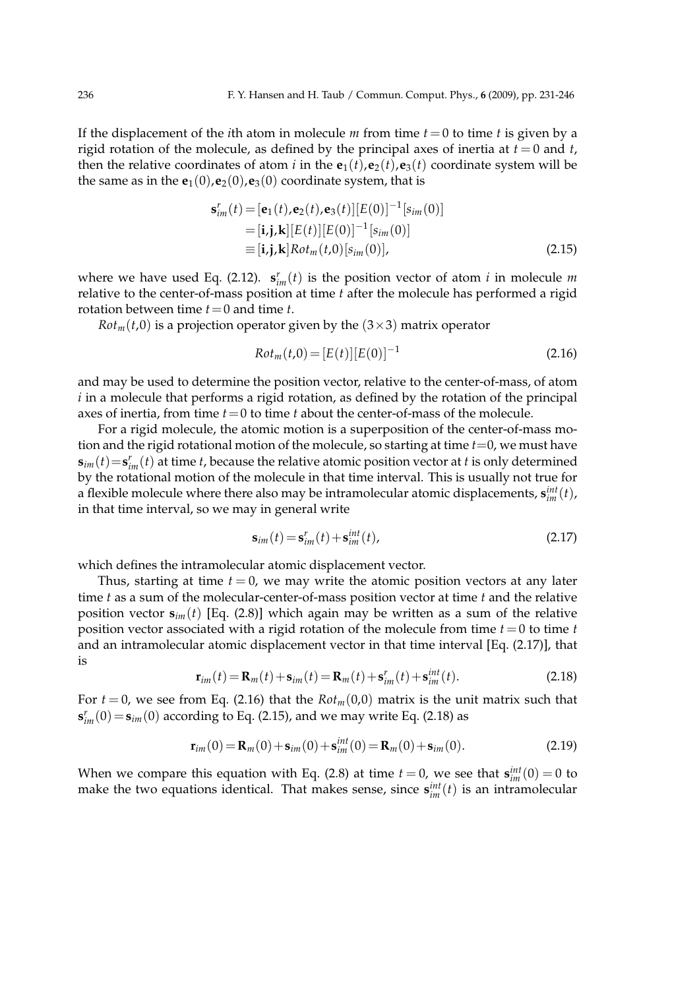If the displacement of the *i*th atom in molecule *m* from time  $t = 0$  to time *t* is given by a rigid rotation of the molecule, as defined by the principal axes of inertia at  $t = 0$  and  $t$ , then the relative coordinates of atom *i* in the  $e_1(t)$ ,  $e_2(t)$ ,  $e_3(t)$  coordinate system will be the same as in the  $e_1(0)$ ,  $e_2(0)$ ,  $e_3(0)$  coordinate system, that is

$$
\mathbf{s}_{im}^{r}(t) = [\mathbf{e}_{1}(t), \mathbf{e}_{2}(t), \mathbf{e}_{3}(t)][E(0)]^{-1}[s_{im}(0)]
$$
  
\n
$$
= [\mathbf{i}, \mathbf{j}, \mathbf{k}][E(t)][E(0)]^{-1}[s_{im}(0)]
$$
  
\n
$$
\equiv [\mathbf{i}, \mathbf{j}, \mathbf{k}] Rot_{m}(t,0)[s_{im}(0)],
$$
\n(2.15)

where we have used Eq. (2.12).  $\mathbf{s}_{im}^r(t)$  is the position vector of atom *i* in molecule *m* relative to the center-of-mass position at time *t* after the molecule has performed a rigid rotation between time *t*=0 and time *t*.

 $Rot<sub>m</sub>(t,0)$  is a projection operator given by the  $(3\times3)$  matrix operator

$$
Rotm(t,0) = [E(t)][E(0)]-1
$$
\n(2.16)

and may be used to determine the position vector, relative to the center-of-mass, of atom *i* in a molecule that performs a rigid rotation, as defined by the rotation of the principal axes of inertia, from time  $t = 0$  to time  $t$  about the center-of-mass of the molecule.

For a rigid molecule, the atomic motion is a superposition of the center-of-mass motion and the rigid rotational motion of the molecule, so starting at time *t*=0, we must have  $\mathbf{s}_{im}(t)$  =  $\mathbf{s}_{im}^r(t)$  at time *t*, because the relative atomic position vector at *t* is only determined by the rotational motion of the molecule in that time interval. This is usually not true for a flexible molecule where there also may be intramolecular atomic displacements,  $\mathbf{s}_{im}^{int}(t)$ , in that time interval, so we may in general write

$$
\mathbf{s}_{im}(t) = \mathbf{s}_{im}^r(t) + \mathbf{s}_{im}^{int}(t),\tag{2.17}
$$

which defines the intramolecular atomic displacement vector.

Thus, starting at time  $t = 0$ , we may write the atomic position vectors at any later time *t* as a sum of the molecular-center-of-mass position vector at time *t* and the relative position vector  $s_{im}(t)$  [Eq. (2.8)] which again may be written as a sum of the relative position vector associated with a rigid rotation of the molecule from time *t*=0 to time *t* and an intramolecular atomic displacement vector in that time interval [Eq. (2.17)], that is

$$
\mathbf{r}_{im}(t) = \mathbf{R}_m(t) + \mathbf{s}_{im}(t) = \mathbf{R}_m(t) + \mathbf{s}_{im}^r(t) + \mathbf{s}_{im}^{int}(t). \tag{2.18}
$$

For  $t = 0$ , we see from Eq. (2.16) that the  $Rot<sub>m</sub>(0,0)$  matrix is the unit matrix such that  $\mathbf{s}_{im}^r(0) = \mathbf{s}_{im}(0)$  according to Eq. (2.15), and we may write Eq. (2.18) as

$$
\mathbf{r}_{im}(0) = \mathbf{R}_m(0) + \mathbf{s}_{im}(0) + \mathbf{s}^{int}_{im}(0) = \mathbf{R}_m(0) + \mathbf{s}_{im}(0). \tag{2.19}
$$

When we compare this equation with Eq. (2.8) at time  $t = 0$ , we see that  $\mathbf{s}_{im}^{int}(0) = 0$  to make the two equations identical. That makes sense, since  $\mathbf{s}_{im}^{int}(t)$  is an intramolecular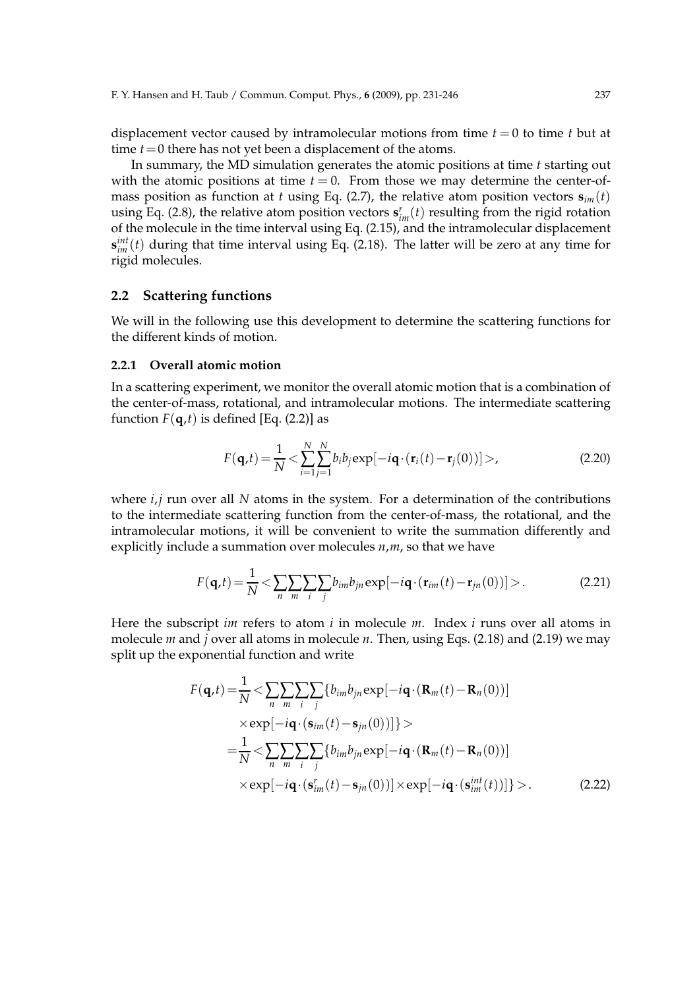displacement vector caused by intramolecular motions from time  $t = 0$  to time  $t$  but at time  $t = 0$  there has not yet been a displacement of the atoms.

In summary, the MD simulation generates the atomic positions at time *t* starting out with the atomic positions at time  $t = 0$ . From those we may determine the center-ofmass position as function at *t* using Eq. (2.7), the relative atom position vectors  $\mathbf{s}_{im}(t)$ using Eq. (2.8), the relative atom position vectors  $\mathbf{s}_{im}^r(t)$  resulting from the rigid rotation of the molecule in the time interval using Eq. (2.15), and the intramolecular displacement **s** *int im* (*t*) during that time interval using Eq. (2.18). The latter will be zero at any time for rigid molecules.

#### **2.2 Scattering functions**

We will in the following use this development to determine the scattering functions for the different kinds of motion.

#### **2.2.1 Overall atomic motion**

In a scattering experiment, we monitor the overall atomic motion that is a combination of the center-of-mass, rotational, and intramolecular motions. The intermediate scattering function  $F(\mathbf{q},t)$  is defined [Eq. (2.2)] as

$$
F(\mathbf{q},t) = \frac{1}{N} < \sum_{i=1}^{N} \sum_{j=1}^{N} b_i b_j \exp[-i\mathbf{q} \cdot (\mathbf{r}_i(t) - \mathbf{r}_j(0))] > \tag{2.20}
$$

where *i*,*j* run over all *N* atoms in the system. For a determination of the contributions to the intermediate scattering function from the center-of-mass, the rotational, and the intramolecular motions, it will be convenient to write the summation differently and explicitly include a summation over molecules *n*,*m*, so that we have

$$
F(\mathbf{q},t) = \frac{1}{N} \langle \sum_{n} \sum_{m} \sum_{i} \sum_{j} b_{im} b_{jn} \exp[-i\mathbf{q} \cdot (\mathbf{r}_{im}(t) - \mathbf{r}_{jn}(0))] \rangle.
$$
 (2.21)

Here the subscript *im* refers to atom *i* in molecule *m*. Index *i* runs over all atoms in molecule *m* and *j* over all atoms in molecule *n*. Then, using Eqs. (2.18) and (2.19) we may split up the exponential function and write

$$
F(\mathbf{q},t) = \frac{1}{N} < \sum_{n} \sum_{m} \sum_{i} \{b_{im}b_{jn} \exp[-i\mathbf{q} \cdot (\mathbf{R}_{m}(t) - \mathbf{R}_{n}(0))]
$$
  
 
$$
\times \exp[-i\mathbf{q} \cdot (\mathbf{s}_{im}(t) - \mathbf{s}_{jn}(0))] \} >
$$
  

$$
= \frac{1}{N} < \sum_{n} \sum_{m} \sum_{i} \{b_{im}b_{jn} \exp[-i\mathbf{q} \cdot (\mathbf{R}_{m}(t) - \mathbf{R}_{n}(0))]
$$
  

$$
\times \exp[-i\mathbf{q} \cdot (\mathbf{s}_{im}^{r}(t) - \mathbf{s}_{jn}(0))] \times \exp[-i\mathbf{q} \cdot (\mathbf{s}_{im}^{int}(t))] \} >. \tag{2.22}
$$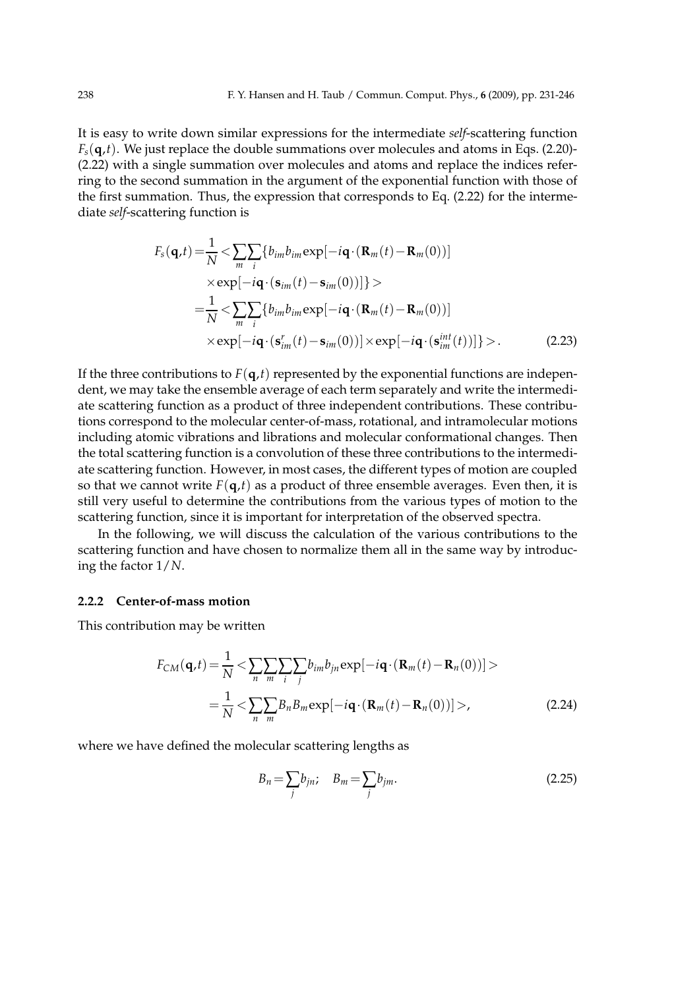It is easy to write down similar expressions for the intermediate *self*-scattering function  $F<sub>s</sub>(q,t)$ . We just replace the double summations over molecules and atoms in Eqs. (2.20)-(2.22) with a single summation over molecules and atoms and replace the indices referring to the second summation in the argument of the exponential function with those of the first summation. Thus, the expression that corresponds to Eq. (2.22) for the intermediate *self*-scattering function is

$$
F_s(\mathbf{q},t) = \frac{1}{N} < \sum_{m} \sum_{i} \{b_{im}b_{im} \exp[-i\mathbf{q} \cdot (\mathbf{R}_m(t) - \mathbf{R}_m(0))]
$$
  
 
$$
\times \exp[-i\mathbf{q} \cdot (\mathbf{s}_{im}(t) - \mathbf{s}_{im}(0))]\} >
$$
  

$$
= \frac{1}{N} < \sum_{m} \sum_{i} \{b_{im}b_{im} \exp[-i\mathbf{q} \cdot (\mathbf{R}_m(t) - \mathbf{R}_m(0))]
$$
  

$$
\times \exp[-i\mathbf{q} \cdot (\mathbf{s}_{im}^r(t) - \mathbf{s}_{im}(0))] \times \exp[-i\mathbf{q} \cdot (\mathbf{s}_{im}^{int}(t))]\} >. \tag{2.23}
$$

If the three contributions to  $F(\mathbf{q},t)$  represented by the exponential functions are independent, we may take the ensemble average of each term separately and write the intermediate scattering function as a product of three independent contributions. These contributions correspond to the molecular center-of-mass, rotational, and intramolecular motions including atomic vibrations and librations and molecular conformational changes. Then the total scattering function is a convolution of these three contributions to the intermediate scattering function. However, in most cases, the different types of motion are coupled so that we cannot write  $F(\mathbf{q},t)$  as a product of three ensemble averages. Even then, it is still very useful to determine the contributions from the various types of motion to the scattering function, since it is important for interpretation of the observed spectra.

In the following, we will discuss the calculation of the various contributions to the scattering function and have chosen to normalize them all in the same way by introducing the factor 1/*N*.

## **2.2.2 Center-of-mass motion**

This contribution may be written

$$
F_{CM}(\mathbf{q},t) = \frac{1}{N} \langle \sum_{n} \sum_{m} \sum_{i} \sum_{j} b_{im} b_{jn} \exp[-i\mathbf{q} \cdot (\mathbf{R}_{m}(t) - \mathbf{R}_{n}(0))] \rangle
$$
  
= 
$$
\frac{1}{N} \langle \sum_{n} \sum_{m} B_{n} B_{m} \exp[-i\mathbf{q} \cdot (\mathbf{R}_{m}(t) - \mathbf{R}_{n}(0))] \rangle,
$$
 (2.24)

where we have defined the molecular scattering lengths as

$$
B_n = \sum_j b_{jn}; \quad B_m = \sum_j b_{jm}.
$$
\n
$$
(2.25)
$$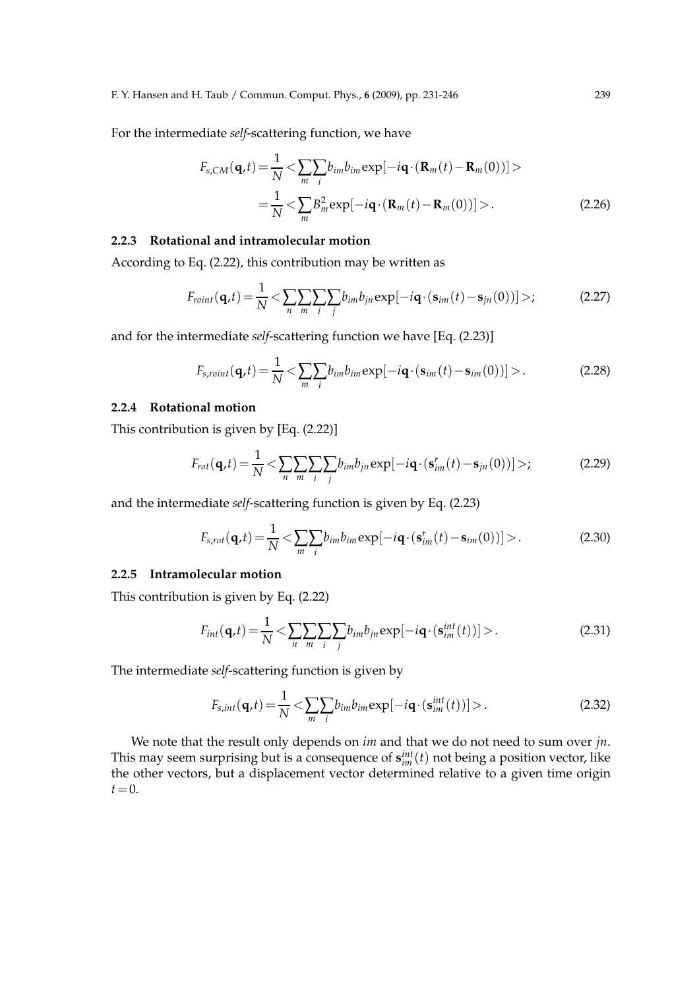For the intermediate *self*-scattering function, we have

$$
F_{s,CM}(\mathbf{q},t) = \frac{1}{N} < \sum_{m} \sum_{i} b_{im} b_{im} \exp[-i\mathbf{q} \cdot (\mathbf{R}_{m}(t) - \mathbf{R}_{m}(0))] > = \frac{1}{N} < \sum_{m} B_{m}^{2} \exp[-i\mathbf{q} \cdot (\mathbf{R}_{m}(t) - \mathbf{R}_{m}(0))] >.
$$
 (2.26)

### **2.2.3 Rotational and intramolecular motion**

According to Eq. (2.22), this contribution may be written as

$$
F_{roint}(\mathbf{q},t) = \frac{1}{N} \langle \sum_{n} \sum_{m} \sum_{i} \sum_{j} b_{im} b_{jn} \exp[-i\mathbf{q} \cdot (\mathbf{s}_{im}(t) - \mathbf{s}_{jn}(0))] \rangle; \tag{2.27}
$$

and for the intermediate *self*-scattering function we have [Eq. (2.23)]

$$
F_{s,roint}(\mathbf{q},t) = \frac{1}{N} \langle \sum_{m} \sum_{i} b_{im} b_{im} \exp[-i\mathbf{q} \cdot (\mathbf{s}_{im}(t) - \mathbf{s}_{im}(0))] \rangle.
$$
 (2.28)

## **2.2.4 Rotational motion**

This contribution is given by [Eq. (2.22)]

$$
F_{rot}(\mathbf{q},t) = \frac{1}{N} < \sum_{n} \sum_{m} \sum_{i} \sum_{j} b_{im} b_{jn} \exp[-i\mathbf{q} \cdot (\mathbf{s}_{im}^{r}(t) - \mathbf{s}_{jn}(0))] > \tag{2.29}
$$

and the intermediate *self*-scattering function is given by Eq. (2.23)

$$
F_{s,rot}(\mathbf{q},t) = \frac{1}{N} \langle \sum_{m} \sum_{i} b_{im} b_{im} \exp[-i\mathbf{q} \cdot (\mathbf{s}_{im}^r(t) - \mathbf{s}_{im}(0))] \rangle.
$$
 (2.30)

## **2.2.5 Intramolecular motion**

This contribution is given by Eq. (2.22)

$$
F_{int}(\mathbf{q},t) = \frac{1}{N} < \sum_{n} \sum_{m} \sum_{i} \sum_{j} b_{im} b_{jn} \exp[-i\mathbf{q} \cdot (\mathbf{s}_{im}^{int}(t))] > . \tag{2.31}
$$

The intermediate *self*-scattering function is given by

$$
F_{s,int}(\mathbf{q},t) = \frac{1}{N} \langle \sum_{m} \sum_{i} b_{im} b_{im} \exp[-i\mathbf{q} \cdot (\mathbf{s}_{im}^{int}(t))] \rangle. \tag{2.32}
$$

We note that the result only depends on *im* and that we do not need to sum over *jn*. This may seem surprising but is a consequence of  $\mathbf{s}_{im}^{int}(t)$  not being a position vector, like the other vectors, but a displacement vector determined relative to a given time origin  $t=0$ .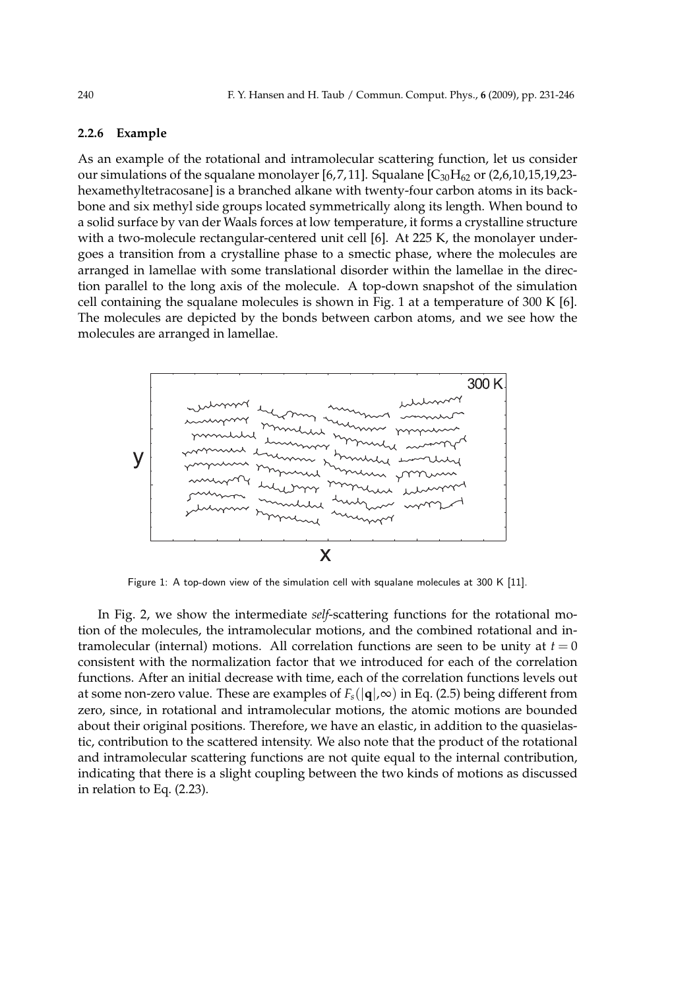### **2.2.6 Example**

As an example of the rotational and intramolecular scattering function, let us consider our simulations of the squalane monolayer [6, 7, 11]. Squalane  $[C_{30}H_{62}$  or (2,6,10,15,19,23hexamethyltetracosane] is a branched alkane with twenty-four carbon atoms in its backbone and six methyl side groups located symmetrically along its length. When bound to a solid surface by van der Waals forces at low temperature, it forms a crystalline structure with a two-molecule rectangular-centered unit cell [6]. At 225 K, the monolayer undergoes a transition from a crystalline phase to a smectic phase, where the molecules are arranged in lamellae with some translational disorder within the lamellae in the direction parallel to the long axis of the molecule. A top-down snapshot of the simulation cell containing the squalane molecules is shown in Fig. 1 at a temperature of 300 K [6]. The molecules are depicted by the bonds between carbon atoms, and we see how the molecules are arranged in lamellae.



Figure 1: A top-down view of the simulation cell with squalane molecules at 300 K [11].

In Fig. 2, we show the intermediate *self*-scattering functions for the rotational motion of the molecules, the intramolecular motions, and the combined rotational and intramolecular (internal) motions. All correlation functions are seen to be unity at  $t = 0$ consistent with the normalization factor that we introduced for each of the correlation functions. After an initial decrease with time, each of the correlation functions levels out at some non-zero value. These are examples of  $F<sub>s</sub>(|\mathbf{q}|,\infty)$  in Eq. (2.5) being different from zero, since, in rotational and intramolecular motions, the atomic motions are bounded about their original positions. Therefore, we have an elastic, in addition to the quasielastic, contribution to the scattered intensity. We also note that the product of the rotational and intramolecular scattering functions are not quite equal to the internal contribution, indicating that there is a slight coupling between the two kinds of motions as discussed in relation to Eq. (2.23).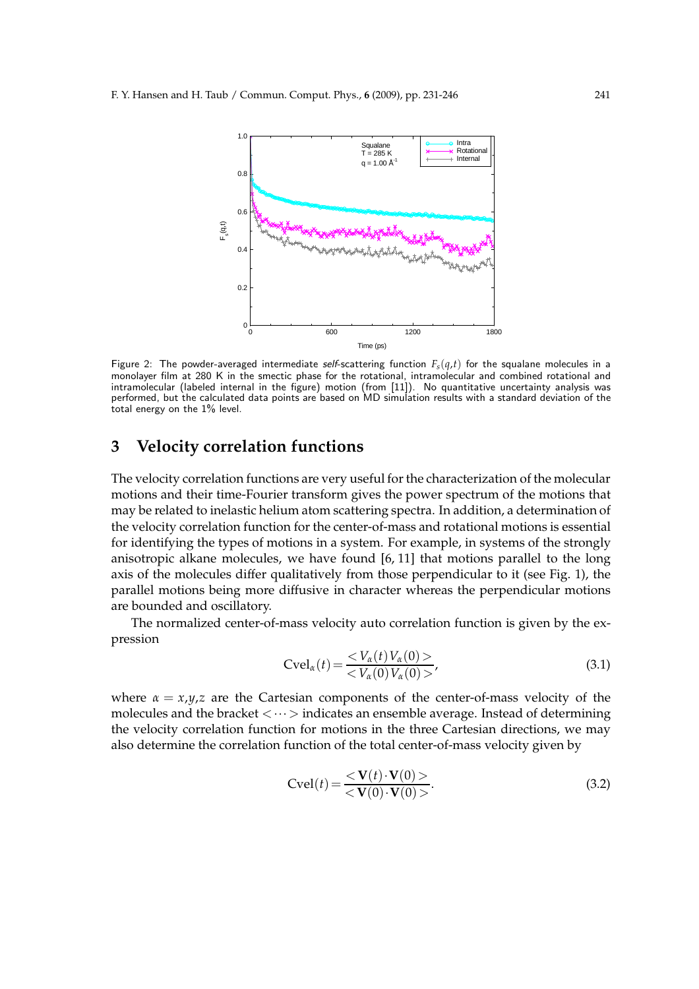

Figure 2: The powder-averaged intermediate self-scattering function  $F_s(q,t)$  for the squalane molecules in a monolayer film at 280 K in the smectic phase for the rotational, intramolecular and combined rotational and intramolecular (labeled internal in the figure) motion (from [11]). No quantitative uncertainty analysis was performed, but the calculated data points are based on MD simulation results with a standard deviation of the total energy on the 1% level.

## **3 Velocity correlation functions**

The velocity correlation functions are very useful for the characterization of the molecular motions and their time-Fourier transform gives the power spectrum of the motions that may be related to inelastic helium atom scattering spectra. In addition, a determination of the velocity correlation function for the center-of-mass and rotational motions is essential for identifying the types of motions in a system. For example, in systems of the strongly anisotropic alkane molecules, we have found [6, 11] that motions parallel to the long axis of the molecules differ qualitatively from those perpendicular to it (see Fig. 1), the parallel motions being more diffusive in character whereas the perpendicular motions are bounded and oscillatory.

The normalized center-of-mass velocity auto correlation function is given by the expression

$$
Cvel_{\alpha}(t) = \frac{< V_{\alpha}(t) V_{\alpha}(0) >}{< V_{\alpha}(0) V_{\alpha}(0) >},\tag{3.1}
$$

where  $\alpha = x, y, z$  are the Cartesian components of the center-of-mass velocity of the molecules and the bracket  $\langle \cdots \rangle$  indicates an ensemble average. Instead of determining the velocity correlation function for motions in the three Cartesian directions, we may also determine the correlation function of the total center-of-mass velocity given by

$$
Cvel(t) = \frac{< \mathbf{V}(t) \cdot \mathbf{V}(0) >}{< \mathbf{V}(0) \cdot \mathbf{V}(0) >}.
$$
\n(3.2)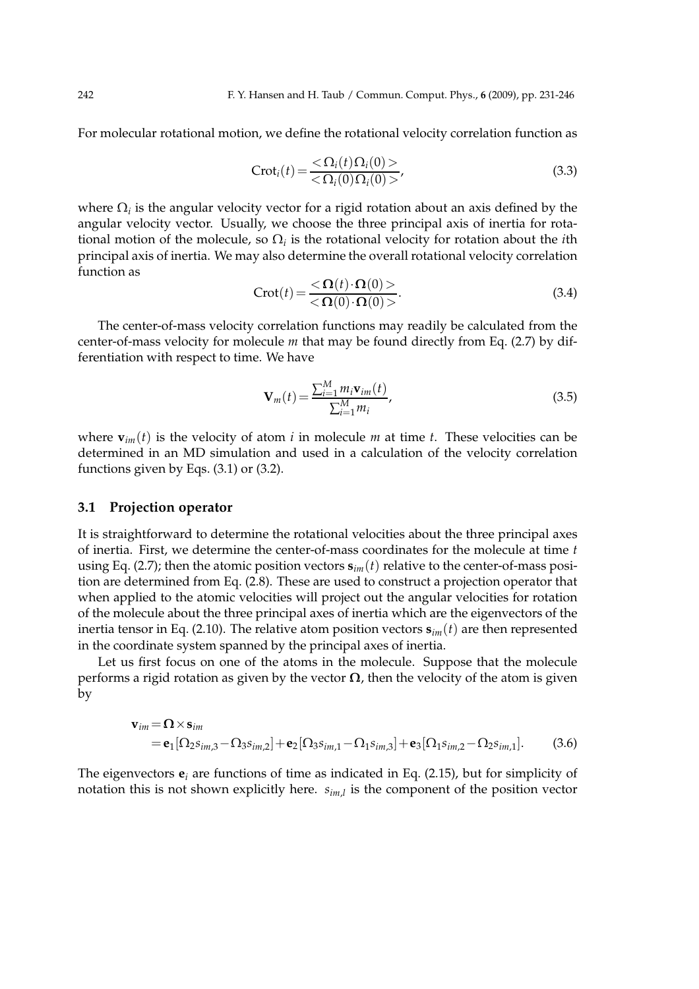For molecular rotational motion, we define the rotational velocity correlation function as

$$
Croti(t) = \frac{<\Omega_i(t)\Omega_i(0)>}{<\Omega_i(0)\Omega_i(0)>},
$$
\n(3.3)

where  $\Omega_i$  is the angular velocity vector for a rigid rotation about an axis defined by the angular velocity vector. Usually, we choose the three principal axis of inertia for rotational motion of the molecule, so  $\Omega_i$  is the rotational velocity for rotation about the *i*th principal axis of inertia. We may also determine the overall rotational velocity correlation function as

$$
Crot(t) = \frac{<\mathbf{\Omega}(t) \cdot \mathbf{\Omega}(0)>}{<\mathbf{\Omega}(0) \cdot \mathbf{\Omega}(0)>}.
$$
\n(3.4)

The center-of-mass velocity correlation functions may readily be calculated from the center-of-mass velocity for molecule *m* that may be found directly from Eq. (2.7) by differentiation with respect to time. We have

$$
\mathbf{V}_{m}(t) = \frac{\sum_{i=1}^{M} m_{i} \mathbf{v}_{im}(t)}{\sum_{i=1}^{M} m_{i}},
$$
\n(3.5)

where  $\mathbf{v}_{im}(t)$  is the velocity of atom *i* in molecule *m* at time *t*. These velocities can be determined in an MD simulation and used in a calculation of the velocity correlation functions given by Eqs. (3.1) or (3.2).

#### **3.1 Projection operator**

It is straightforward to determine the rotational velocities about the three principal axes of inertia. First, we determine the center-of-mass coordinates for the molecule at time *t* using Eq. (2.7); then the atomic position vectors  $\mathbf{s}_{im}(t)$  relative to the center-of-mass position are determined from Eq. (2.8). These are used to construct a projection operator that when applied to the atomic velocities will project out the angular velocities for rotation of the molecule about the three principal axes of inertia which are the eigenvectors of the inertia tensor in Eq. (2.10). The relative atom position vectors **s***im*(*t*) are then represented in the coordinate system spanned by the principal axes of inertia.

Let us first focus on one of the atoms in the molecule. Suppose that the molecule performs a rigid rotation as given by the vector  $\Omega$ , then the velocity of the atom is given by

$$
\mathbf{v}_{im} = \mathbf{\Omega} \times \mathbf{s}_{im}
$$
  
=  $\mathbf{e}_{1} [\Omega_{2} s_{im,3} - \Omega_{3} s_{im,2}] + \mathbf{e}_{2} [\Omega_{3} s_{im,1} - \Omega_{1} s_{im,3}] + \mathbf{e}_{3} [\Omega_{1} s_{im,2} - \Omega_{2} s_{im,1}].$  (3.6)

The eigenvectors **e***<sup>i</sup>* are functions of time as indicated in Eq. (2.15), but for simplicity of notation this is not shown explicitly here. *sim*,*<sup>l</sup>* is the component of the position vector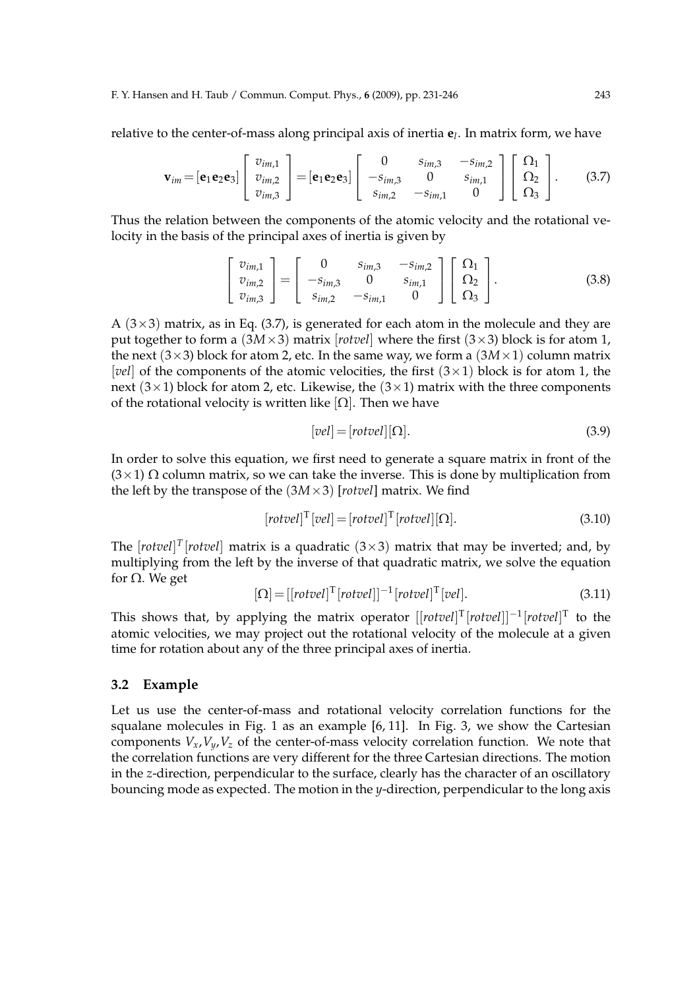relative to the center-of-mass along principal axis of inertia **e***<sup>l</sup>* . In matrix form, we have

$$
\mathbf{v}_{im} = \begin{bmatrix} \mathbf{e}_1 \mathbf{e}_2 \mathbf{e}_3 \end{bmatrix} \begin{bmatrix} v_{im,1} \\ v_{im,2} \\ v_{im,3} \end{bmatrix} = \begin{bmatrix} \mathbf{e}_1 \mathbf{e}_2 \mathbf{e}_3 \end{bmatrix} \begin{bmatrix} 0 & s_{im,3} & -s_{im,2} \\ -s_{im,3} & 0 & s_{im,1} \\ s_{im,2} & -s_{im,1} & 0 \end{bmatrix} \begin{bmatrix} \Omega_1 \\ \Omega_2 \\ \Omega_3 \end{bmatrix}.
$$
 (3.7)

Thus the relation between the components of the atomic velocity and the rotational velocity in the basis of the principal axes of inertia is given by

$$
\begin{bmatrix} v_{im,1} \\ v_{im,2} \\ v_{im,3} \end{bmatrix} = \begin{bmatrix} 0 & s_{im,3} & -s_{im,2} \\ -s_{im,3} & 0 & s_{im,1} \\ s_{im,2} & -s_{im,1} & 0 \end{bmatrix} \begin{bmatrix} \Omega_1 \\ \Omega_2 \\ \Omega_3 \end{bmatrix}.
$$
 (3.8)

A  $(3\times3)$  matrix, as in Eq.  $(3.7)$ , is generated for each atom in the molecule and they are put together to form a  $(3M \times 3)$  matrix [*rotvel*] where the first  $(3 \times 3)$  block is for atom 1, the next  $(3\times3)$  block for atom 2, etc. In the same way, we form a  $(3M\times1)$  column matrix [*vel*] of the components of the atomic velocities, the first  $(3 \times 1)$  block is for atom 1, the next ( $3 \times 1$ ) block for atom 2, etc. Likewise, the ( $3 \times 1$ ) matrix with the three components of the rotational velocity is written like  $[\Omega]$ . Then we have

$$
[vel] = [rotvel][\Omega].\tag{3.9}
$$

In order to solve this equation, we first need to generate a square matrix in front of the  $(3\times1)$  Ω column matrix, so we can take the inverse. This is done by multiplication from the left by the transpose of the  $(3M \times 3)$  [*rotvel*] matrix. We find

$$
[rotvel]^{T}[vel] = [rotvel]^{T}[rotvel][\Omega].
$$
\n(3.10)

The  $[rotvel]^T[rotvel]$  matrix is a quadratic  $(3\times3)$  matrix that may be inverted; and, by multiplying from the left by the inverse of that quadratic matrix, we solve the equation for Ω. We get

$$
[\Omega] = [[rotvel]T [rotvel]]-1 [rotvel]T [vel].
$$
\n(3.11)

This shows that, by applying the matrix operator  $[[rotvel]^T[rotvel]]^{-1}[rotvel]^T$  to the atomic velocities, we may project out the rotational velocity of the molecule at a given time for rotation about any of the three principal axes of inertia.

#### **3.2 Example**

Let us use the center-of-mass and rotational velocity correlation functions for the squalane molecules in Fig. 1 as an example [6, 11]. In Fig. 3, we show the Cartesian components  $V_x$ ,  $V_y$ ,  $V_z$  of the center-of-mass velocity correlation function. We note that the correlation functions are very different for the three Cartesian directions. The motion in the *z*-direction, perpendicular to the surface, clearly has the character of an oscillatory bouncing mode as expected. The motion in the *y*-direction, perpendicular to the long axis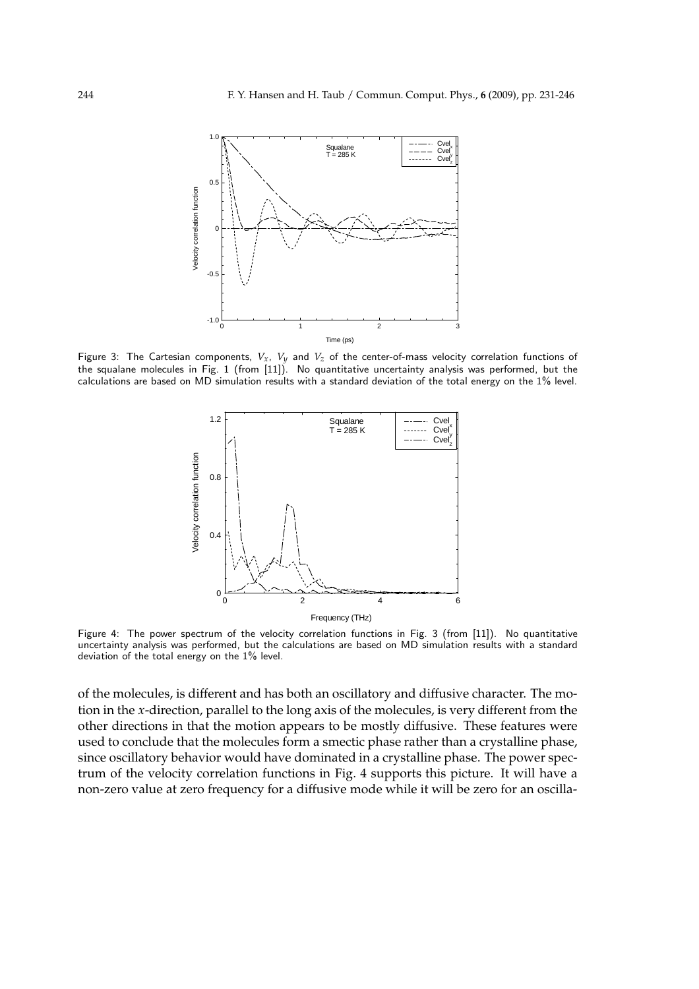

Figure 3: The Cartesian components, *Vx*, *Vy* and *Vz* of the center-of-mass velocity correlation functions of the squalane molecules in Fig. 1 (from [11]). No quantitative uncertainty analysis was performed, but the calculations are based on MD simulation results with a standard deviation of the total energy on the 1% level.



Figure 4: The power spectrum of the velocity correlation functions in Fig. 3 (from [11]). No quantitative uncertainty analysis was performed, but the calculations are based on MD simulation results with a standard deviation of the total energy on the 1% level.

of the molecules, is different and has both an oscillatory and diffusive character. The motion in the *x*-direction, parallel to the long axis of the molecules, is very different from the other directions in that the motion appears to be mostly diffusive. These features were used to conclude that the molecules form a smectic phase rather than a crystalline phase, since oscillatory behavior would have dominated in a crystalline phase. The power spectrum of the velocity correlation functions in Fig. 4 supports this picture. It will have a non-zero value at zero frequency for a diffusive mode while it will be zero for an oscilla-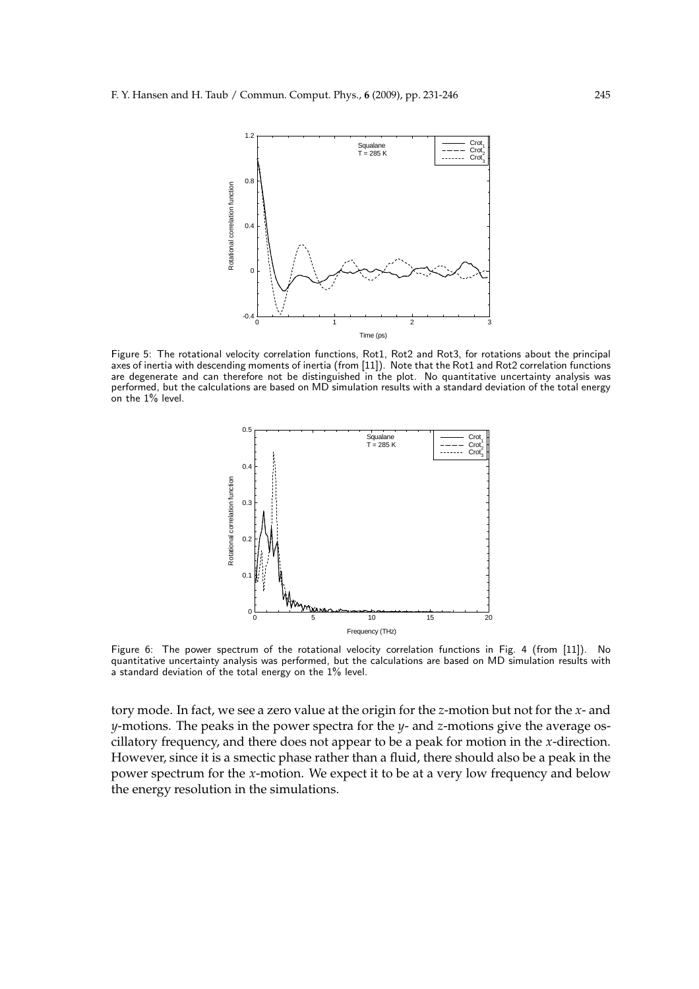

Figure 5: The rotational velocity correlation functions, Rot1, Rot2 and Rot3, for rotations about the principal axes of inertia with descending moments of inertia (from [11]). Note that the Rot1 and Rot2 correlation functions are degenerate and can therefore not be distinguished in the plot. No quantitative uncertainty analysis was performed, but the calculations are based on MD simulation results with a standard deviation of the total energy on the 1% level.



Figure 6: The power spectrum of the rotational velocity correlation functions in Fig. 4 (from [11]). No quantitative uncertainty analysis was performed, but the calculations are based on MD simulation results with a standard deviation of the total energy on the 1% level.

tory mode. In fact, we see a zero value at the origin for the *z*-motion but not for the *x*- and *y*-motions. The peaks in the power spectra for the *y*- and *z*-motions give the average oscillatory frequency, and there does not appear to be a peak for motion in the *x*-direction. However, since it is a smectic phase rather than a fluid, there should also be a peak in the power spectrum for the *x*-motion. We expect it to be at a very low frequency and below the energy resolution in the simulations.